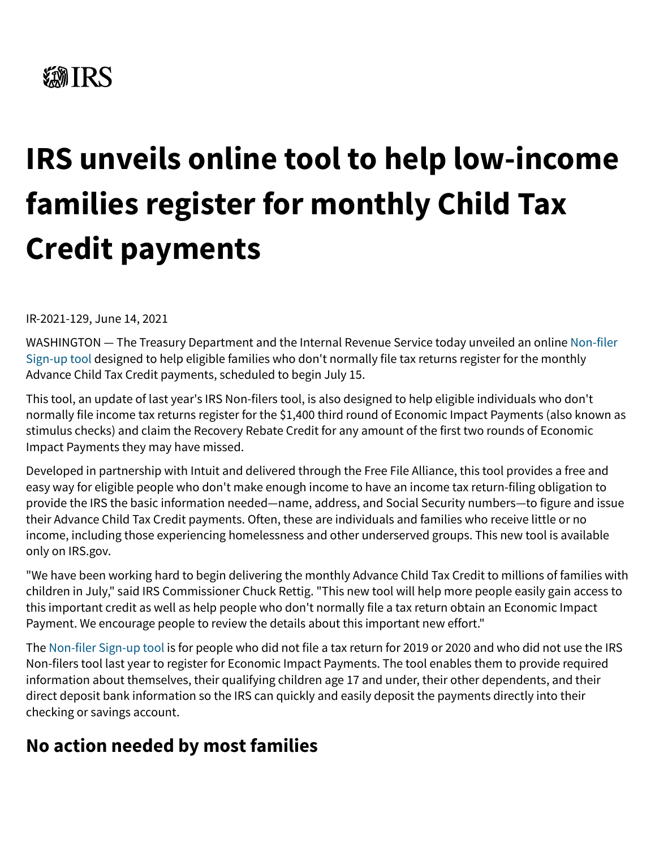# **《新TRS**

# **IRS unveils online tool to help low-income families register for monthly Child Tax Credit payments**

IR-2021-129, June 14, 2021

[WASHINGTON — The Treasury Department and the Internal Revenue Service today unveiled an online Non-filer](https://www.irs.gov/credits-deductions/child-tax-credit-non-filer-sign-up-tool) Sign-up tool designed to help eligible families who don't normally file tax returns register for the monthly Advance Child Tax Credit payments, scheduled to begin July 15.

This tool, an update of last year's IRS Non-filers tool, is also designed to help eligible individuals who don't normally file income tax returns register for the \$1,400 third round of Economic Impact Payments (also known as stimulus checks) and claim the Recovery Rebate Credit for any amount of the first two rounds of Economic Impact Payments they may have missed.

Developed in partnership with Intuit and delivered through the Free File Alliance, this tool provides a free and easy way for eligible people who don't make enough income to have an income tax return-filing obligation to provide the IRS the basic information needed—name, address, and Social Security numbers—to figure and issue their Advance Child Tax Credit payments. Often, these are individuals and families who receive little or no income, including those experiencing homelessness and other underserved groups. This new tool is available only on IRS.gov.

"We have been working hard to begin delivering the monthly Advance Child Tax Credit to millions of families with children in July," said IRS Commissioner Chuck Rettig. "This new tool will help more people easily gain access to this important credit as well as help people who don't normally file a tax return obtain an Economic Impact Payment. We encourage people to review the details about this important new effort."

The [Non-filer Sign-up tool](https://www.irs.gov/credits-deductions/child-tax-credit-non-filer-sign-up-tool) is for people who did not file a tax return for 2019 or 2020 and who did not use the IRS Non-filers tool last year to register for Economic Impact Payments. The tool enables them to provide required information about themselves, their qualifying children age 17 and under, their other dependents, and their direct deposit bank information so the IRS can quickly and easily deposit the payments directly into their checking or savings account.

#### **No action needed by most families**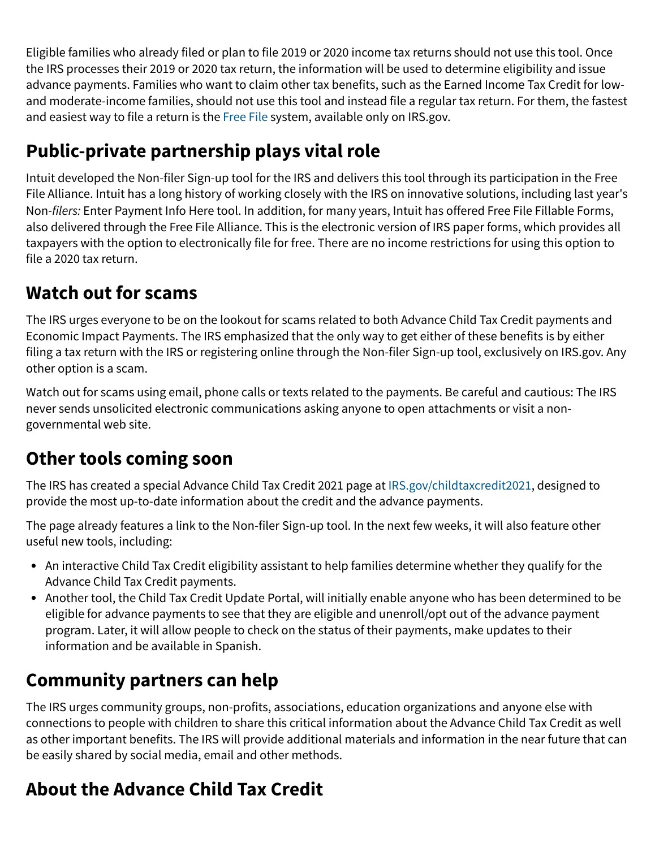Eligible families who already filed or plan to file 2019 or 2020 income tax returns should not use this tool. Once the IRS processes their 2019 or 2020 tax return, the information will be used to determine eligibility and issue advance payments. Families who want to claim other tax benefits, such as the Earned Income Tax Credit for lowand moderate-income families, should not use this tool and instead file a regular tax return. For them, the fastest and easiest way to file a return is the [Free File](https://www.irs.gov/filing/free-file-do-your-federal-taxes-for-free) system, available only on IRS.gov.

## **Public-private partnership plays vital role**

Intuit developed the Non-filer Sign-up tool for the IRS and delivers this tool through its participation in the Free File Alliance. Intuit has a long history of working closely with the IRS on innovative solutions, including last year's Non-filers: Enter Payment Info Here tool. In addition, for many years, Intuit has offered Free File Fillable Forms, also delivered through the Free File Alliance. This is the electronic version of IRS paper forms, which provides all taxpayers with the option to electronically file for free. There are no income restrictions for using this option to file a 2020 tax return.

#### **Watch out for scams**

The IRS urges everyone to be on the lookout for scams related to both Advance Child Tax Credit payments and Economic Impact Payments. The IRS emphasized that the only way to get either of these benefits is by either filing a tax return with the IRS or registering online through the Non-filer Sign-up tool, exclusively on IRS.gov. Any other option is a scam.

Watch out for scams using email, phone calls or texts related to the payments. Be careful and cautious: The IRS never sends unsolicited electronic communications asking anyone to open attachments or visit a nongovernmental web site.

#### **Other tools coming soon**

The IRS has created a special Advance Child Tax Credit 2021 page at [IRS.gov/childtaxcredit2021](https://www.irs.gov/credits-deductions/advance-child-tax-credit-payments-in-2021), designed to provide the most up-to-date information about the credit and the advance payments.

The page already features a link to the Non-filer Sign-up tool. In the next few weeks, it will also feature other useful new tools, including:

- An interactive Child Tax Credit eligibility assistant to help families determine whether they qualify for the Advance Child Tax Credit payments.
- Another tool, the Child Tax Credit Update Portal, will initially enable anyone who has been determined to be eligible for advance payments to see that they are eligible and unenroll/opt out of the advance payment program. Later, it will allow people to check on the status of their payments, make updates to their information and be available in Spanish.

#### **Community partners can help**

The IRS urges community groups, non-profits, associations, education organizations and anyone else with connections to people with children to share this critical information about the Advance Child Tax Credit as well as other important benefits. The IRS will provide additional materials and information in the near future that can be easily shared by social media, email and other methods.

### **About the Advance Child Tax Credit**